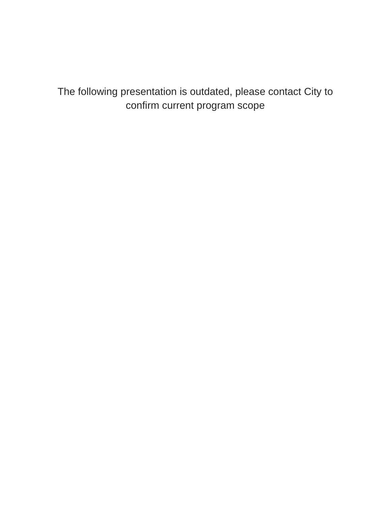#### The following presentation is outdated, please contact City to confirm current program scope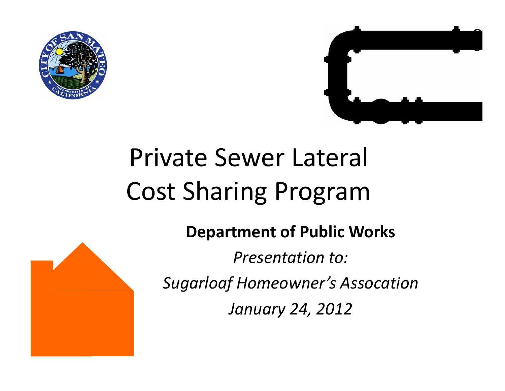



# Private Sewer Lateral Cost Sharing Program

**Department of Public Works**

*Presentation to:*

*Sugarloaf Homeowner's Assocation*

*January 24, 2012*

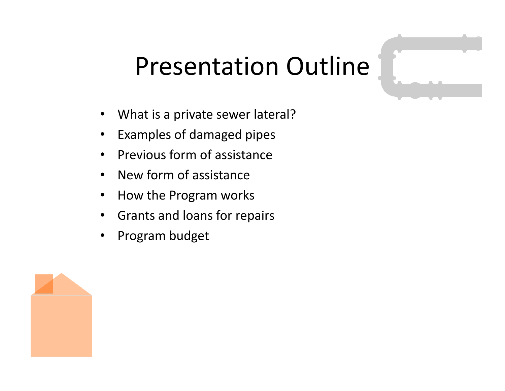## Presentation Outline

- What is a private sewer lateral?
- Examples of damaged pipes
- Previous form of assistance
- New form of assistance
- How the Program works
- Grants and loans for repairs
- Program budget

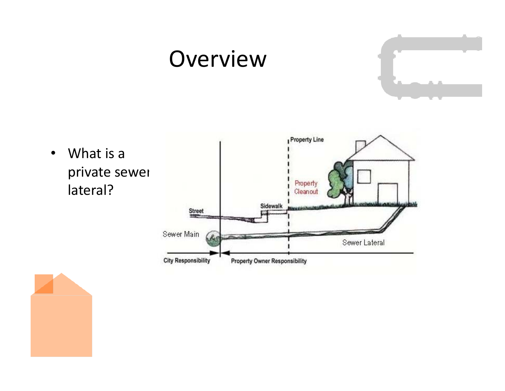#### **Overview**

• What is a private sewer lateral?



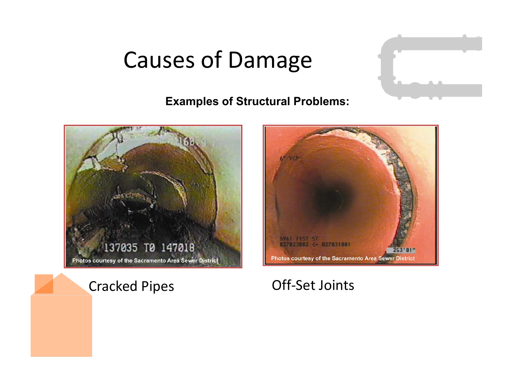### Causes of Damage

#### **Examples of Structural Problems:**



#### Cracked Pipes Off-Set Joints

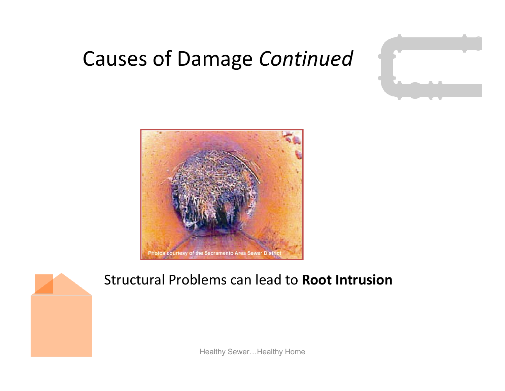#### Causes of Damage *Continued*





#### Structural Problems can lead to **Root Intrusion**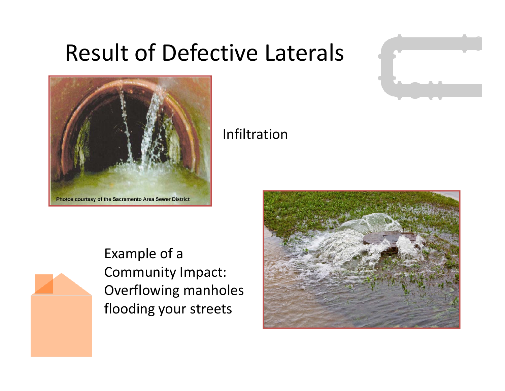### Result of Defective Laterals





#### Infiltration

Example of a Community Impact: Overflowing manholes flooding your streets

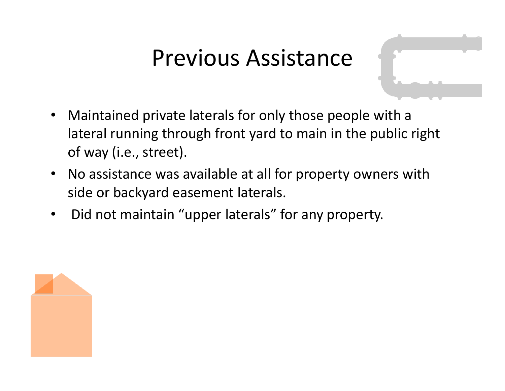### Previous Assistance

- Maintained private laterals for only those people with a lateral running through front yard to main in the public right of way (i.e., street).
- No assistance was available at all for property owners with side or backyard easement laterals.
- Did not maintain "upper laterals" for any property.

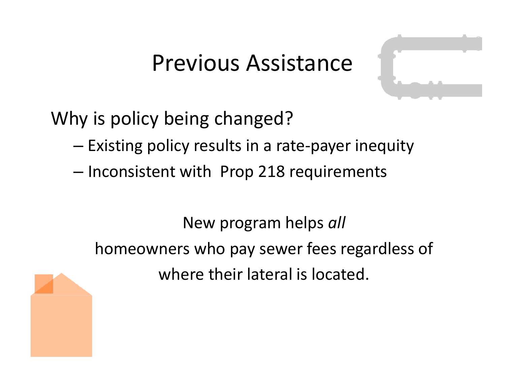### Previous Assistance



- Existing policy results in a rate-payer inequity
- $-$  Inconsistent with Prop 218 requirements

New program helps *all* homeowners who pay sewer fees regardless of where their lateral is located.

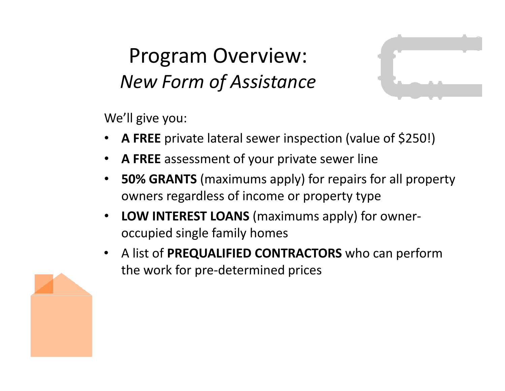#### Program Overview: *New Form of Assistance*



We'll give you:

- **A FREE** private lateral sewer inspection (value of \$250!)
- **A FREE** assessment of your private sewer line
- **50% GRANTS** (maximums apply) for repairs for all property owners regardless of income or property type
- **LOW INTEREST LOANS** (maximums apply) for owneroccupied single family homes
- A list of **PREQUALIFIED CONTRACTORS** who can perform the work for pre-determined prices

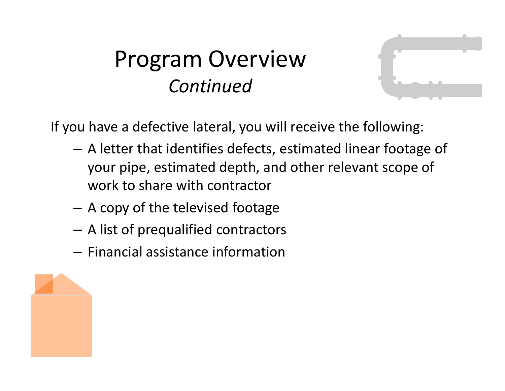### Program Overview *Continued*



If you have a defective lateral, you will receive the following:

- A letter that identifies defects, estimated linear footage of your pipe, estimated depth, and other relevant scope of work to share with contractor
- A copy of the televised footage
- A list of prequalified contractors
- Financial assistance information

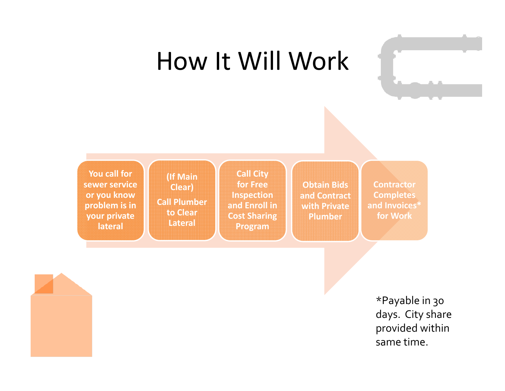## How It Will Work

**You call for sewer service or you know problem is in your private lateral**

**(If Main Clear) Call Plumber to Clear Lateral**

**Call City for Free Inspection and Enroll in Cost Sharing Program**

**Obtain Bids and Contract with Private Plumber**

**Contractor Completes and Invoices\* for Work**

> \*Payable in 30 days. City share provided within same time.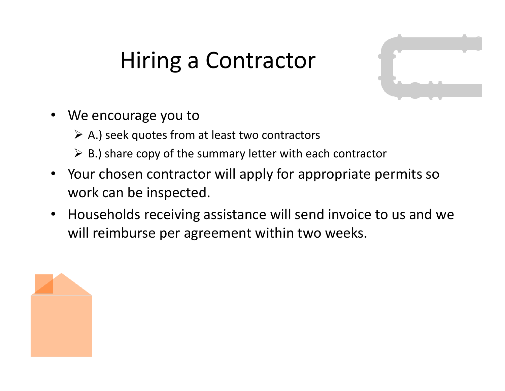### Hiring a Contractor

- We encourage you to
	- $\triangleright$  A.) seek quotes from at least two contractors
	- $\triangleright$  B.) share copy of the summary letter with each contractor
- Your chosen contractor will apply for appropriate permits so work can be inspected.
- Households receiving assistance will send invoice to us and we will reimburse per agreement within two weeks.

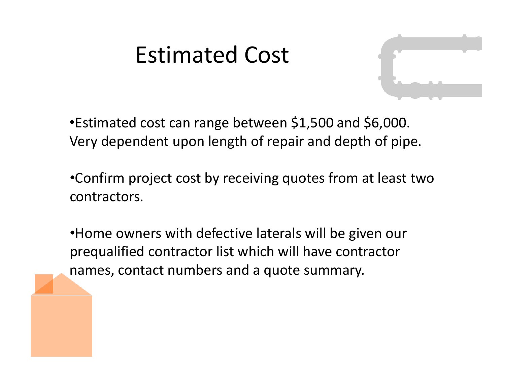### Estimated Cost



- •Estimated cost can range between \$1,500 and \$6,000. Very dependent upon length of repair and depth of pipe.
- •Confirm project cost by receiving quotes from at least two contractors.
- •Home owners with defective laterals will be given our prequalified contractor list which will have contractor names, contact numbers and a quote summary.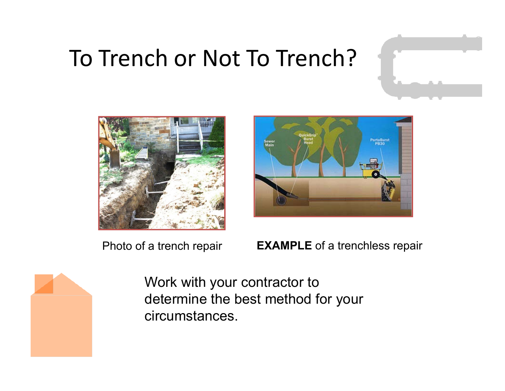### To Trench or Not To Trench?





Photo of a trench repair **EXAMPLE** of a trenchless repair



Work with your contractor to determine the best method for your circumstances.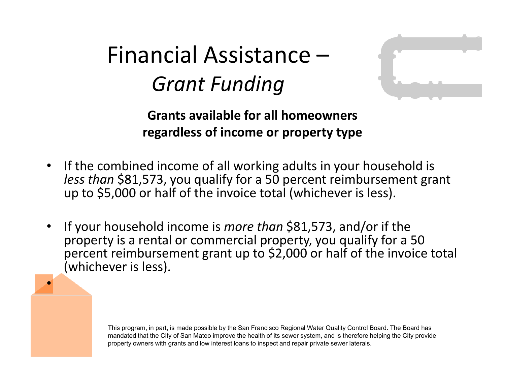Financial Assistance – *Grant Funding*

•



**Grants available for all homeowners regardless of income or property type**

- If the combined income of all working adults in your household is *less than* \$81,573, you qualify for a 50 percent reimbursement grant up to \$5,000 or half of the invoice total (whichever is less).
- If your household income is *more than* \$81,573, and/or if the property is a rental or commercial property, you qualify for a 50 percent reimbursement grant up to \$2,000 or half of the invoice total (whichever is less).

This program, in part, is made possible by the San Francisco Regional Water Quality Control Board. The Board has mandated that the City of San Mateo improve the health of its sewer system, and is therefore helping the City provide property owners with grants and low interest loans to inspect and repair private sewer laterals.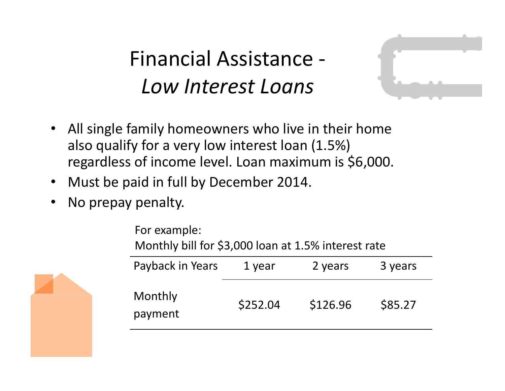Financial Assistance -*Low Interest Loans*



- All single family homeowners who live in their home also qualify for a very low interest loan (1.5%) regardless of income level. Loan maximum is \$6,000.
- Must be paid in full by December 2014.
- No prepay penalty.

Payback in Years 1 year 2 years 3 years Monthly payment \$252.04 \$126.96 \$85.27 For example: Monthly bill for \$3,000 loan at 1.5% interest rate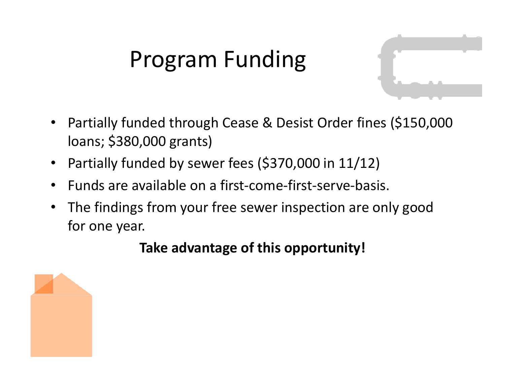### Program Funding

- 
- Partially funded through Cease & Desist Order fines (\$150,000 loans; \$380,000 grants)
- Partially funded by sewer fees (\$370,000 in 11/12)
- Funds are available on a first-come-first-serve-basis.
- The findings from your free sewer inspection are only good for one year.

#### **Take advantage of this opportunity!**